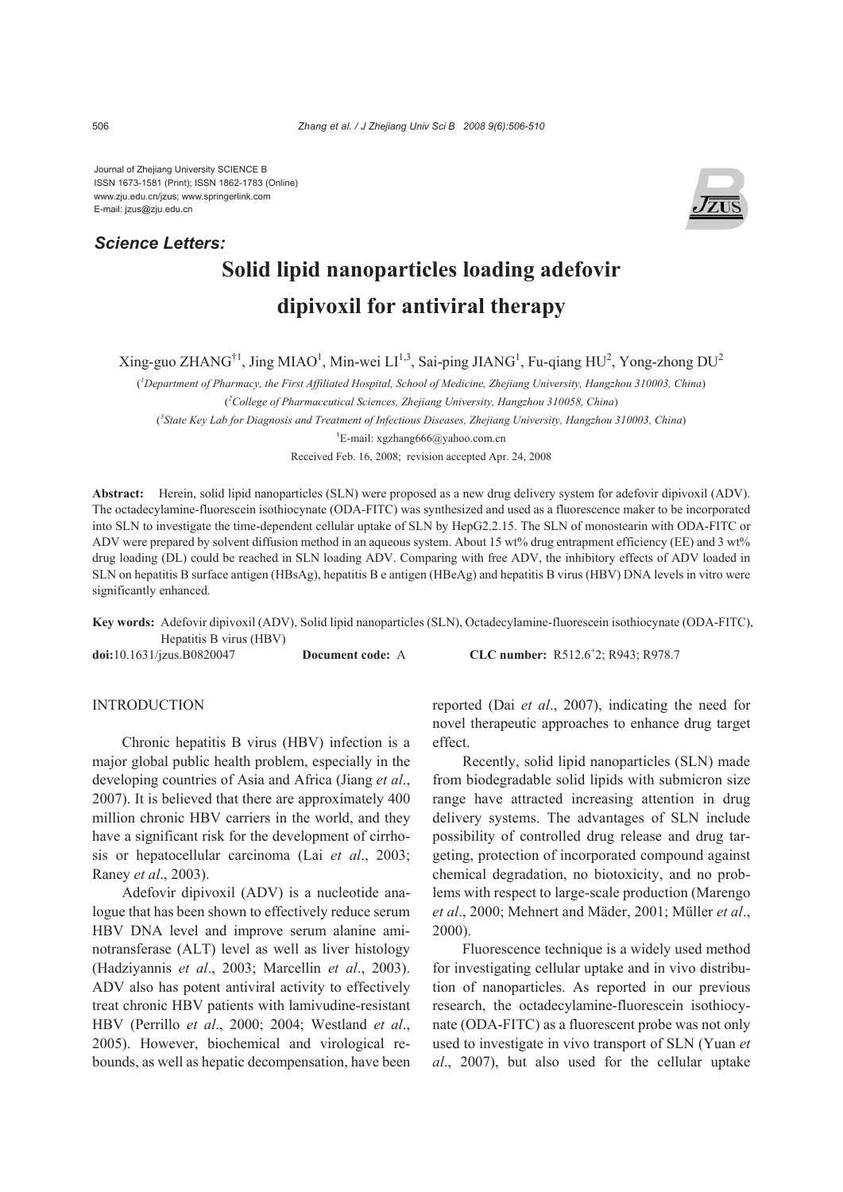Journal of Zhejiang University SCIENCE B ISSN 1673-1581 (Print); ISSN 1862-1783 (Online) www.zju.edu.cn/jzus; www.springerlink.com E-mail: jzus@zju.edu.cn

# *Science Letters:*



# **Solid lipid nanoparticles loading adefovir dipivoxil for antiviral therapy**

 $\text{Xing-guo ZHANG}^{\dagger 1}$ , Jing MIAO<sup>1</sup>, Min-wei LI<sup>1,3</sup>, Sai-ping JIANG<sup>1</sup>, Fu-qiang HU<sup>2</sup>, Yong-zhong DU<sup>2</sup>

( *1 Department of Pharmacy, the First Affiliated Hospital, School of Medicine, Zhejiang University, Hangzhou 310003, China*) ( *2 College of Pharmaceutical Sciences, Zhejiang University, Hangzhou 310058, China*) ( *3 State Key Lab for Diagnosis and Treatment of Infectious Diseases, Zhejiang University, Hangzhou 310003, China*) † E-mail: xgzhang666@yahoo.com.cn Received Feb. 16, 2008; revision accepted Apr. 24, 2008

**Abstract:** Herein, solid lipid nanoparticles (SLN) were proposed as a new drug delivery system for adefovir dipivoxil (ADV). The octadecylamine-fluorescein isothiocynate (ODA-FITC) was synthesized and used as a fluorescence maker to be incorporated into SLN to investigate the time-dependent cellular uptake of SLN by HepG2.2.15. The SLN of monostearin with ODA-FITC or ADV were prepared by solvent diffusion method in an aqueous system. About 15 wt% drug entrapment efficiency (EE) and 3 wt% drug loading (DL) could be reached in SLN loading ADV. Comparing with free ADV, the inhibitory effects of ADV loaded in SLN on hepatitis B surface antigen (HBsAg), hepatitis B e antigen (HBeAg) and hepatitis B virus (HBV) DNA levels in vitro were significantly enhanced.

**Key words:** Adefovir dipivoxil (ADV), Solid lipid nanoparticles (SLN), Octadecylamine-fluorescein isothiocynate (ODA-FITC), Hepatitis B virus (HBV)

**doi:**10.1631/jzus.B0820047 **Document code:** A

CLC number: R512.6<sup>+</sup>2; R943; R978.7

# INTRODUCTION

Chronic hepatitis B virus (HBV) infection is a major global public health problem, especially in the developing countries of Asia and Africa (Jiang *et al*., 2007). It is believed that there are approximately 400 million chronic HBV carriers in the world, and they have a significant risk for the development of cirrhosis or hepatocellular carcinoma (Lai *et al*., 2003; Raney *et al*., 2003).

Adefovir dipivoxil (ADV) is a nucleotide analogue that has been shown to effectively reduce serum HBV DNA level and improve serum alanine aminotransferase (ALT) level as well as liver histology (Hadziyannis *et al*., 2003; Marcellin *et al*., 2003). ADV also has potent antiviral activity to effectively treat chronic HBV patients with lamivudine-resistant HBV (Perrillo *et al*., 2000; 2004; Westland *et al*., 2005). However, biochemical and virological rebounds, as well as hepatic decompensation, have been

reported (Dai *et al*., 2007), indicating the need for novel therapeutic approaches to enhance drug target effect.

Recently, solid lipid nanoparticles (SLN) made from biodegradable solid lipids with submicron size range have attracted increasing attention in drug delivery systems. The advantages of SLN include possibility of controlled drug release and drug targeting, protection of incorporated compound against chemical degradation, no biotoxicity, and no problems with respect to large-scale production (Marengo *et al*., 2000; Mehnert and Mäder, 2001; Müller *et al*., 2000).

Fluorescence technique is a widely used method for investigating cellular uptake and in vivo distribution of nanoparticles. As reported in our previous research, the octadecylamine-fluorescein isothiocynate (ODA-FITC) as a fluorescent probe was not only used to investigate in vivo transport of SLN (Yuan *et al*., 2007), but also used for the cellular uptake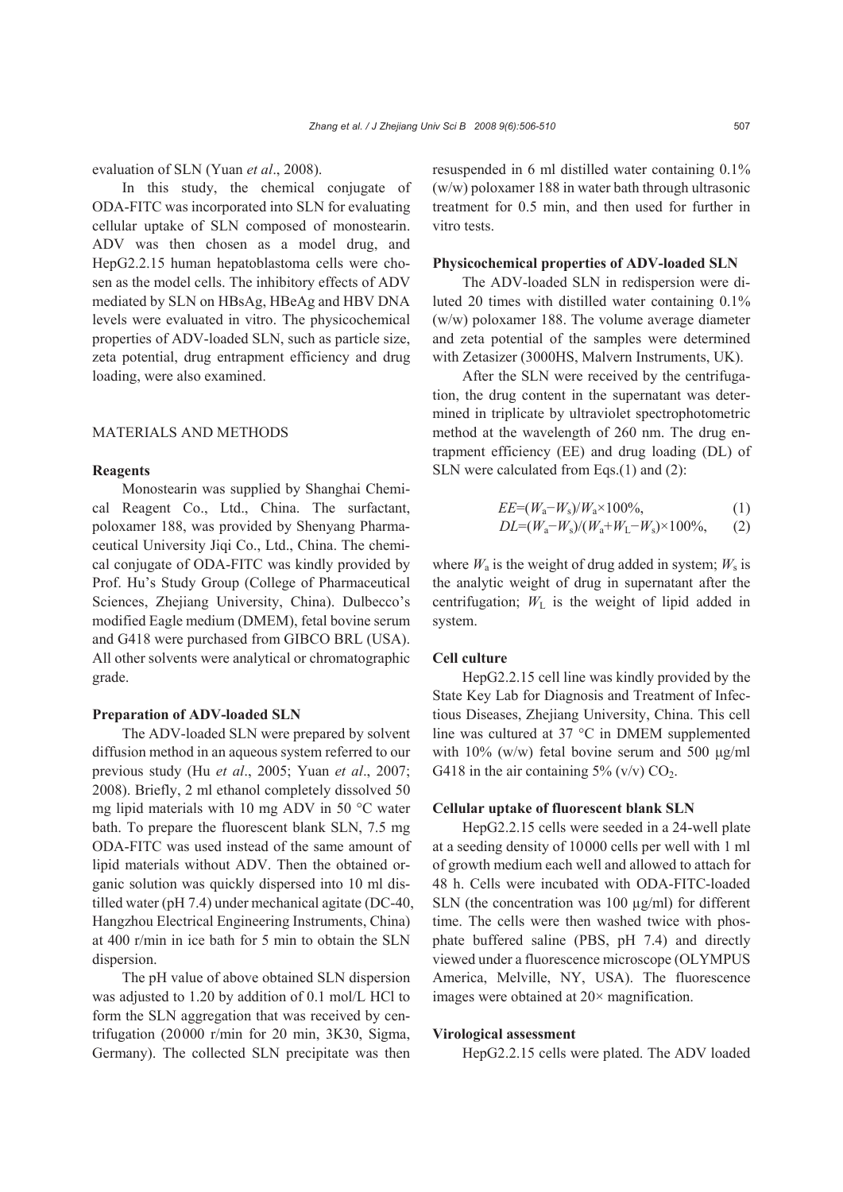evaluation of SLN (Yuan *et al*., 2008).

In this study, the chemical conjugate of ODA-FITC was incorporated into SLN for evaluating cellular uptake of SLN composed of monostearin. ADV was then chosen as a model drug, and HepG2.2.15 human hepatoblastoma cells were chosen as the model cells. The inhibitory effects of ADV mediated by SLN on HBsAg, HBeAg and HBV DNA levels were evaluated in vitro. The physicochemical properties of ADV-loaded SLN, such as particle size, zeta potential, drug entrapment efficiency and drug loading, were also examined.

## MATERIALS AND METHODS

## **Reagents**

Monostearin was supplied by Shanghai Chemical Reagent Co., Ltd., China. The surfactant, poloxamer 188, was provided by Shenyang Pharmaceutical University Jiqi Co., Ltd., China. The chemical conjugate of ODA-FITC was kindly provided by Prof. Hu's Study Group (College of Pharmaceutical Sciences, Zhejiang University, China). Dulbecco's modified Eagle medium (DMEM), fetal bovine serum and G418 were purchased from GIBCO BRL (USA). All other solvents were analytical or chromatographic grade.

#### **Preparation of ADV-loaded SLN**

The ADV-loaded SLN were prepared by solvent diffusion method in an aqueous system referred to our previous study (Hu *et al*., 2005; Yuan *et al*., 2007; 2008). Briefly, 2 ml ethanol completely dissolved 50 mg lipid materials with 10 mg ADV in 50 °C water bath. To prepare the fluorescent blank SLN, 7.5 mg ODA-FITC was used instead of the same amount of lipid materials without ADV. Then the obtained organic solution was quickly dispersed into 10 ml distilled water (pH 7.4) under mechanical agitate (DC-40, Hangzhou Electrical Engineering Instruments, China) at 400 r/min in ice bath for 5 min to obtain the SLN dispersion.

The pH value of above obtained SLN dispersion was adjusted to 1.20 by addition of 0.1 mol/L HCl to form the SLN aggregation that was received by centrifugation (20000 r/min for 20 min, 3K30, Sigma, Germany). The collected SLN precipitate was then resuspended in 6 ml distilled water containing 0.1% (w/w) poloxamer 188 in water bath through ultrasonic treatment for 0.5 min, and then used for further in vitro tests.

## **Physicochemical properties of ADV-loaded SLN**

The ADV-loaded SLN in redispersion were diluted 20 times with distilled water containing 0.1% (w/w) poloxamer 188. The volume average diameter and zeta potential of the samples were determined with Zetasizer (3000HS, Malvern Instruments, UK).

After the SLN were received by the centrifugation, the drug content in the supernatant was determined in triplicate by ultraviolet spectrophotometric method at the wavelength of 260 nm. The drug entrapment efficiency (EE) and drug loading (DL) of SLN were calculated from Eqs.(1) and (2):

$$
EE=(W_{\rm a}-W_{\rm s})/W_{\rm a} \times 100\%,\tag{1}
$$

$$
DL=(W_{\rm a}-W_{\rm s})/(W_{\rm a}+W_{\rm L}-W_{\rm s}) \times 100\%, \qquad (2)
$$

where  $W_a$  is the weight of drug added in system;  $W_s$  is the analytic weight of drug in supernatant after the centrifugation;  $W<sub>L</sub>$  is the weight of lipid added in system.

#### **Cell culture**

HepG2.2.15 cell line was kindly provided by the State Key Lab for Diagnosis and Treatment of Infectious Diseases, Zhejiang University, China. This cell line was cultured at 37 °C in DMEM supplemented with 10% (w/w) fetal bovine serum and 500 μg/ml G418 in the air containing  $5\%$  (v/v) CO<sub>2</sub>.

#### **Cellular uptake of fluorescent blank SLN**

HepG2.2.15 cells were seeded in a 24-well plate at a seeding density of 10000 cells per well with 1 ml of growth medium each well and allowed to attach for 48 h. Cells were incubated with ODA-FITC-loaded SLN (the concentration was  $100 \mu g/ml$ ) for different time. The cells were then washed twice with phosphate buffered saline (PBS, pH 7.4) and directly viewed under a fluorescence microscope (OLYMPUS America, Melville, NY, USA). The fluorescence images were obtained at 20× magnification.

#### **Virological assessment**

HepG2.2.15 cells were plated. The ADV loaded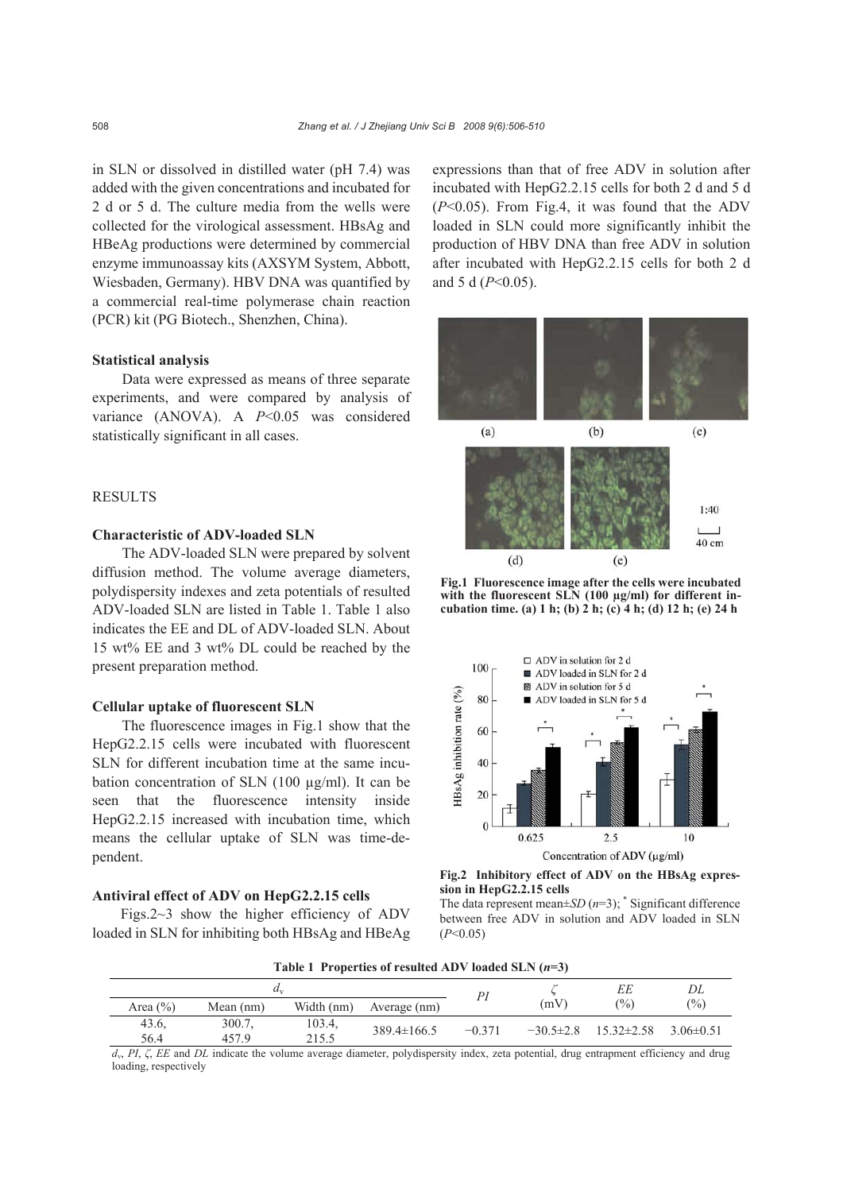in SLN or dissolved in distilled water (pH 7.4) was added with the given concentrations and incubated for 2 d or 5 d. The culture media from the wells were collected for the virological assessment. HBsAg and HBeAg productions were determined by commercial enzyme immunoassay kits (AXSYM System, Abbott, Wiesbaden, Germany). HBV DNA was quantified by a commercial real-time polymerase chain reaction (PCR) kit (PG Biotech., Shenzhen, China).

#### **Statistical analysis**

Data were expressed as means of three separate experiments, and were compared by analysis of variance (ANOVA). A *P*<0.05 was considered statistically significant in all cases.

## **RESULTS**

# **Characteristic of ADV-loaded SLN**

The ADV-loaded SLN were prepared by solvent diffusion method. The volume average diameters, polydispersity indexes and zeta potentials of resulted ADV-loaded SLN are listed in Table 1. Table 1 also indicates the EE and DL of ADV-loaded SLN. About 15 wt% EE and 3 wt% DL could be reached by the present preparation method.

#### **Cellular uptake of fluorescent SLN**

The fluorescence images in Fig.1 show that the HepG2.2.15 cells were incubated with fluorescent SLN for different incubation time at the same incubation concentration of SLN (100 µg/ml). It can be seen that the fluorescence intensity inside HepG2.2.15 increased with incubation time, which means the cellular uptake of SLN was time-dependent.

## **Antiviral effect of ADV on HepG2.2.15 cells**

Figs.  $2~3$  show the higher efficiency of ADV loaded in SLN for inhibiting both HBsAg and HBeAg expressions than that of free ADV in solution after incubated with HepG2.2.15 cells for both 2 d and 5 d (*P*<0.05). From Fig.4, it was found that the ADV loaded in SLN could more significantly inhibit the production of HBV DNA than free ADV in solution after incubated with HepG2.2.15 cells for both 2 d and 5 d (*P*<0.05).



**Fig.1 Fluorescence image after the cells were incubated** with the fluorescent SLN (100 µg/ml) for different in**cubation time. (a) 1 h; (b) 2 h; (c) 4 h; (d) 12 h; (e) 24 h**



**Fig.2 Inhibitory effect of ADV on the HBsAg expression in HepG2.2.15 cells** 

The data represent mean $\pm SD(n=3)$ ;  $*$  Significant difference between free ADV in solution and ADV loaded in SLN (*P*<0.05)

**Table 1 Properties of resulted ADV loaded SLN (***n***=3)**

| $a_{v}$       |  |                 |                 |                   |          |                 | EЕ               | DL             |  |
|---------------|--|-----------------|-----------------|-------------------|----------|-----------------|------------------|----------------|--|
| Area $(\% )$  |  | Mean $(nm)$     | Width (nm)      | Average (nm)      |          | (mV)            | (%)              | $\frac{10}{6}$ |  |
| 43.6.<br>56.4 |  | 300.7.<br>457.9 | 103.4,<br>215.5 | $389.4 \pm 166.5$ | $-0.371$ | $-30.5 \pm 2.8$ | $15.32 \pm 2.58$ | $3.06\pm0.51$  |  |

*d*v, *PI*, *ζ*, *EE* and *DL* indicate the volume average diameter, polydispersity index, zeta potential, drug entrapment efficiency and drug loading, respectively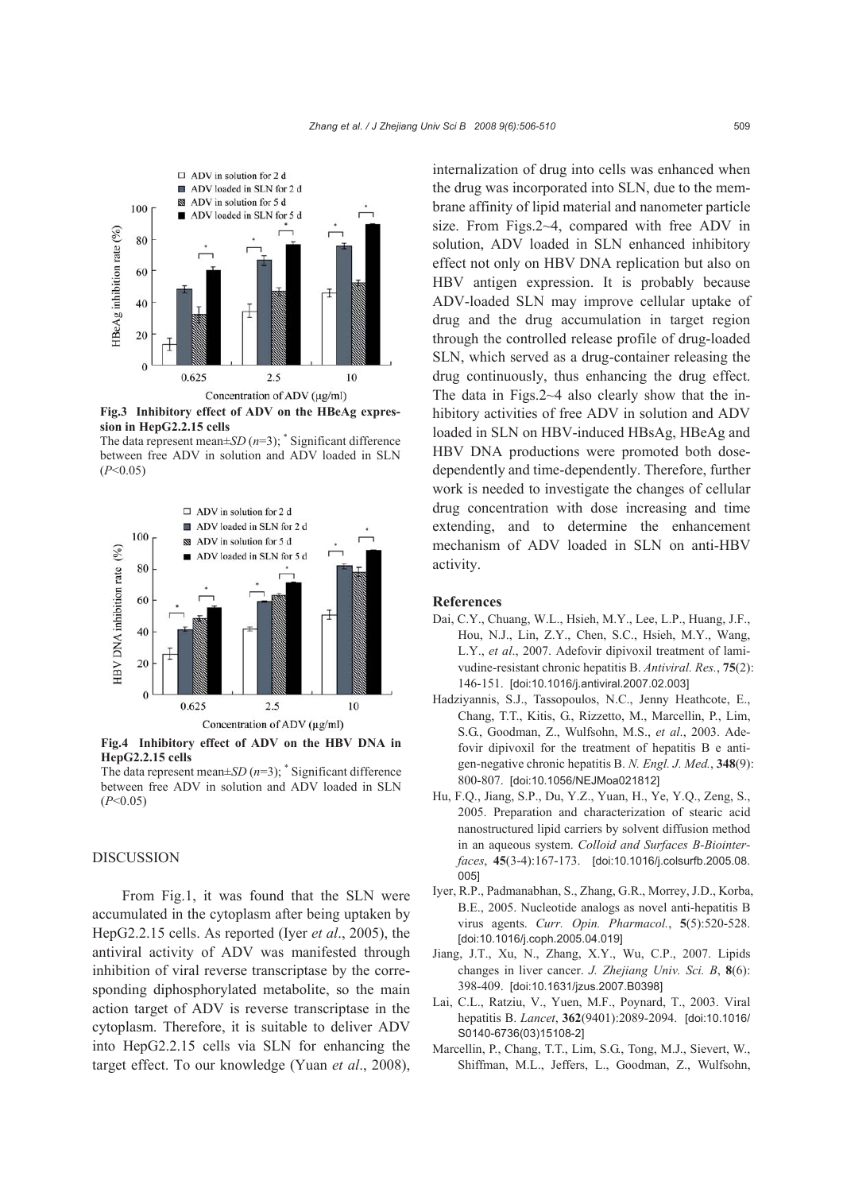

**Fig.3 Inhibitory effect of ADV on the HBeAg expression in HepG2.2.15 cells** 

The data represent mean $\pm SD(n=3)$ ; \* Significant difference between free ADV in solution and ADV loaded in SLN  $(P<0.05)$ 



**Fig.4 Inhibitory effect of ADV on the HBV DNA in HepG2.2.15 cells** 

The data represent mean±*SD* (*n*=3); \* Significant difference between free ADV in solution and ADV loaded in SLN  $(P<0.05)$ 

### DISCUSSION

From Fig.1, it was found that the SLN were accumulated in the cytoplasm after being uptaken by HepG2.2.15 cells. As reported (Iyer *et al*., 2005), the antiviral activity of ADV was manifested through inhibition of viral reverse transcriptase by the corresponding diphosphorylated metabolite, so the main action target of ADV is reverse transcriptase in the cytoplasm. Therefore, it is suitable to deliver ADV into HepG2.2.15 cells via SLN for enhancing the target effect. To our knowledge (Yuan *et al*., 2008), internalization of drug into cells was enhanced when the drug was incorporated into SLN, due to the membrane affinity of lipid material and nanometer particle size. From Figs.2~4, compared with free ADV in solution, ADV loaded in SLN enhanced inhibitory effect not only on HBV DNA replication but also on HBV antigen expression. It is probably because ADV-loaded SLN may improve cellular uptake of drug and the drug accumulation in target region through the controlled release profile of drug-loaded SLN, which served as a drug-container releasing the drug continuously, thus enhancing the drug effect. The data in Figs.2~4 also clearly show that the inhibitory activities of free ADV in solution and ADV loaded in SLN on HBV-induced HBsAg, HBeAg and HBV DNA productions were promoted both dosedependently and time-dependently. Therefore, further work is needed to investigate the changes of cellular drug concentration with dose increasing and time extending, and to determine the enhancement mechanism of ADV loaded in SLN on anti-HBV activity.

#### **References**

- Dai, C.Y., Chuang, W.L., Hsieh, M.Y., Lee, L.P., Huang, J.F., Hou, N.J., Lin, Z.Y., Chen, S.C., Hsieh, M.Y., Wang, L.Y., *et al*., 2007. Adefovir dipivoxil treatment of lamivudine-resistant chronic hepatitis B. *Antiviral. Res.*, **75**(2): 146-151. [doi:10.1016/j.antiviral.2007.02.003]
- Hadziyannis, S.J., Tassopoulos, N.C., Jenny Heathcote, E., Chang, T.T., Kitis, G., Rizzetto, M., Marcellin, P., Lim, S.G., Goodman, Z., Wulfsohn, M.S., *et al*., 2003. Adefovir dipivoxil for the treatment of hepatitis B e antigen-negative chronic hepatitis B. *N. Engl. J. Med.*, **348**(9): 800-807. [doi:10.1056/NEJMoa021812]
- Hu, F.Q., Jiang, S.P., Du, Y.Z., Yuan, H., Ye, Y.Q., Zeng, S., 2005. Preparation and characterization of stearic acid nanostructured lipid carriers by solvent diffusion method in an aqueous system. *Colloid and Surfaces B-Biointerfaces*, **45**(3-4):167-173. [doi:10.1016/j.colsurfb.2005.08. 005]
- Iyer, R.P., Padmanabhan, S., Zhang, G.R., Morrey, J.D., Korba, B.E., 2005. Nucleotide analogs as novel anti-hepatitis B virus agents. *Curr. Opin. Pharmacol.*, **5**(5):520-528. [doi:10.1016/j.coph.2005.04.019]
- Jiang, J.T., Xu, N., Zhang, X.Y., Wu, C.P., 2007. Lipids changes in liver cancer. *J. Zhejiang Univ. Sci. B*, **8**(6): 398-409. [doi:10.1631/jzus.2007.B0398]
- Lai, C.L., Ratziu, V., Yuen, M.F., Poynard, T., 2003. Viral hepatitis B. *Lancet*, **362**(9401):2089-2094. [doi:10.1016/ S0140-6736(03)15108-2]
- Marcellin, P., Chang, T.T., Lim, S.G., Tong, M.J., Sievert, W., Shiffman, M.L., Jeffers, L., Goodman, Z., Wulfsohn,